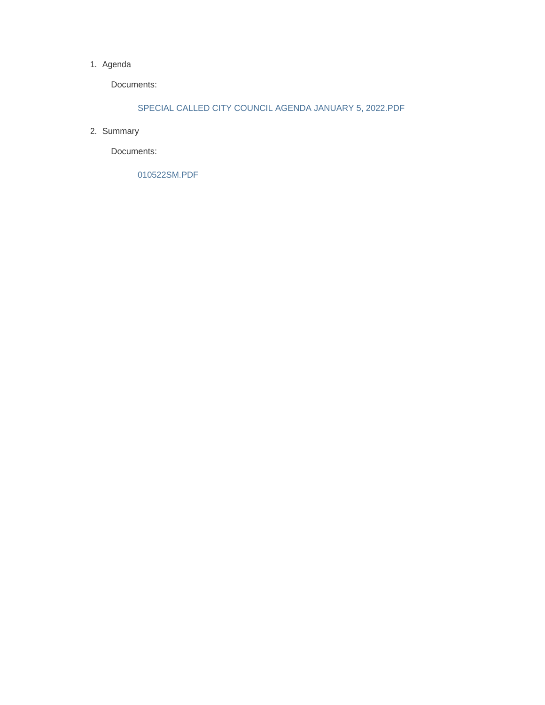### 1. Agenda

Documents:

## SPECIAL CALLED CITY COUNCIL AGENDA JANUARY 5, 2022.PDF

2. Summary

Documents:

010522SM.PDF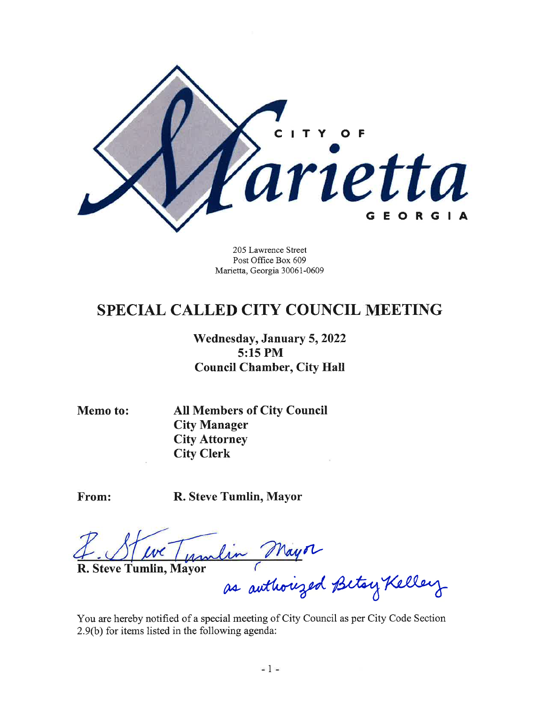

205 Lawrence Street Post Office Box 609 Marietta, Georgia 30061-0609

## **SPECIAL CALLED CITY COUNCIL MEETING**

Wednesday, January 5, 2022 5:15 PM **Council Chamber, City Hall** 

**Memo to:** 

**All Members of City Council City Manager City Attorney City Clerk** 

From:

R. Steve Tumlin, Mayor

Marlin

R. Steve Tumlin, Mayor

lin Mayor<br>as authorized Betsy Kelley

You are hereby notified of a special meeting of City Council as per City Code Section 2.9(b) for items listed in the following agenda: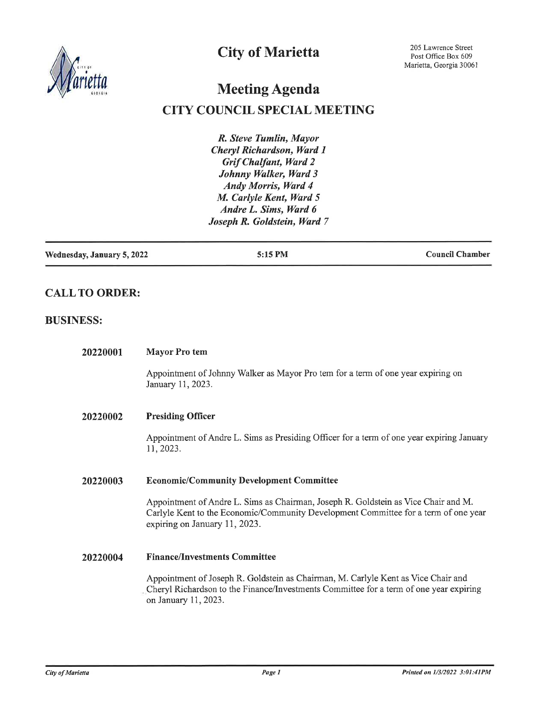

## **City of Marietta**

# **Meeting Agenda**

## **CITY COUNCIL SPECIAL MEETING**

R. Steve Tumlin, Mayor Cheryl Richardson, Ward 1 **Grif Chalfant**, Ward 2 Johnny Walker, Ward 3 Andy Morris, Ward 4 M. Carlyle Kent, Ward 5 Andre L. Sims, Ward 6 Joseph R. Goldstein, Ward 7

| Wednesday, January 5, 2022 | 5:15 PM | <b>Council Chamber</b> |
|----------------------------|---------|------------------------|
|                            |         |                        |

## **CALL TO ORDER:**

## **BUSINESS:**

| 20220001 | <b>Mayor Pro tem</b>                                                                                                                                                                                       |
|----------|------------------------------------------------------------------------------------------------------------------------------------------------------------------------------------------------------------|
|          | Appointment of Johnny Walker as Mayor Pro tem for a term of one year expiring on<br>January 11, 2023.                                                                                                      |
| 20220002 | <b>Presiding Officer</b>                                                                                                                                                                                   |
|          | Appointment of Andre L. Sims as Presiding Officer for a term of one year expiring January<br>11, 2023.                                                                                                     |
| 20220003 | <b>Economic/Community Development Committee</b>                                                                                                                                                            |
|          | Appointment of Andre L. Sims as Chairman, Joseph R. Goldstein as Vice Chair and M.<br>Carlyle Kent to the Economic/Community Development Committee for a term of one year<br>expiring on January 11, 2023. |
| 20220004 | <b>Finance/Investments Committee</b>                                                                                                                                                                       |
|          | Appointment of Joseph R. Goldstein as Chairman, M. Carlyle Kent as Vice Chair and<br>Cheryl Richardson to the Finance/Investments Committee for a term of one year expiring<br>on January 11, 2023.        |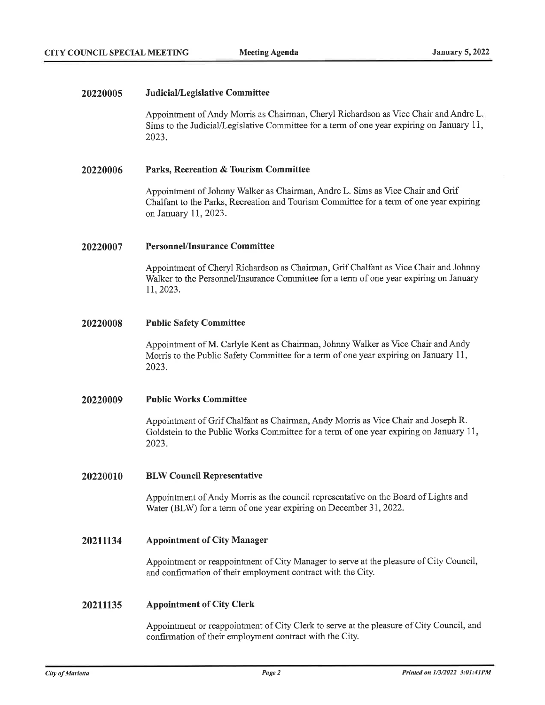### 20220005 Judicial/Legislative Committee

Appointment of Andy Morris as Chairman, Cheryl Richardson as Vice Chair and Andre L. Sims to the Judicial/Legislative Committee for a term of one year expiring on January 11, 2023.

### 20220006 Parks, Recreation & Tourism Committee

Appointment of Johnny Walker as Chairman, Andre L. Sims as Vice Chair and Grif Chalfant to the Parks, Recreation and Tourism Committee for a term of one year expiring on January 11, 2023.

### **Personnel/Insurance Committee** 20220007

Appointment of Cheryl Richardson as Chairman, Grif Chalfant as Vice Chair and Johnny Walker to the Personnel/Insurance Committee for a term of one year expiring on January 11, 2023.

### 20220008 **Public Safety Committee**

Appointment of M. Carlyle Kent as Chairman, Johnny Walker as Vice Chair and Andy Morris to the Public Safety Committee for a term of one year expiring on January 11, 2023.

#### **Public Works Committee** 20220009

Appointment of Grif Chalfant as Chairman, Andy Morris as Vice Chair and Joseph R. Goldstein to the Public Works Committee for a term of one year expiring on January 11, 2023.

#### 20220010 **BLW Council Representative**

Appointment of Andy Morris as the council representative on the Board of Lights and Water (BLW) for a term of one year expiring on December 31, 2022.

### 20211134 **Appointment of City Manager**

Appointment or reappointment of City Manager to serve at the pleasure of City Council, and confirmation of their employment contract with the City.

#### 20211135 **Appointment of City Clerk**

Appointment or reappointment of City Clerk to serve at the pleasure of City Council, and confirmation of their employment contract with the City.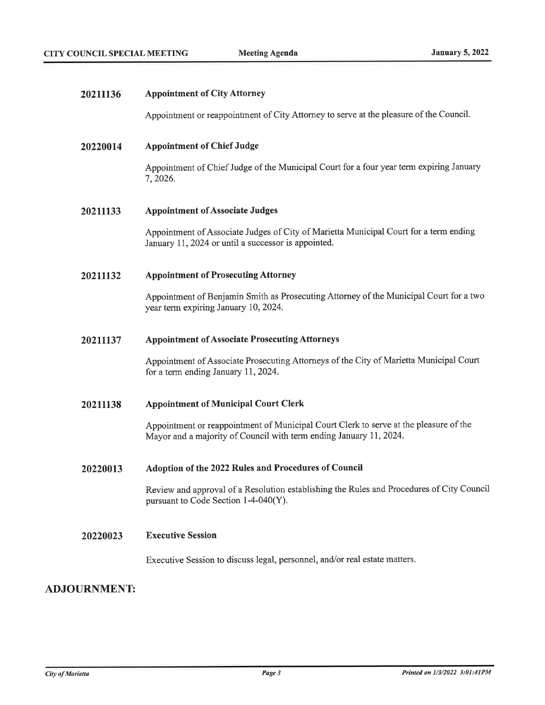| 20211136 | <b>Appointment of City Attorney</b>                                                                                                                         |
|----------|-------------------------------------------------------------------------------------------------------------------------------------------------------------|
|          | Appointment or reappointment of City Attorney to serve at the pleasure of the Council.                                                                      |
| 20220014 | <b>Appointment of Chief Judge</b>                                                                                                                           |
|          | Appointment of Chief Judge of the Municipal Court for a four year term expiring January<br>7, 2026.                                                         |
| 20211133 | <b>Appointment of Associate Judges</b>                                                                                                                      |
|          | Appointment of Associate Judges of City of Marietta Municipal Court for a term ending<br>January 11, 2024 or until a successor is appointed.                |
| 20211132 | <b>Appointment of Prosecuting Attorney</b>                                                                                                                  |
|          | Appointment of Benjamin Smith as Prosecuting Attorney of the Municipal Court for a two<br>year term expiring January 10, 2024.                              |
| 20211137 | <b>Appointment of Associate Prosecuting Attorneys</b>                                                                                                       |
|          | Appointment of Associate Prosecuting Attorneys of the City of Marietta Municipal Court<br>for a term ending January 11, 2024.                               |
| 20211138 | <b>Appointment of Municipal Court Clerk</b>                                                                                                                 |
|          | Appointment or reappointment of Municipal Court Clerk to serve at the pleasure of the<br>Mayor and a majority of Council with term ending January 11, 2024. |
| 20220013 | Adoption of the 2022 Rules and Procedures of Council                                                                                                        |
|          | Review and approval of a Resolution establishing the Rules and Procedures of City Council<br>pursuant to Code Section 1-4-040(Y).                           |
| 20220023 | <b>Executive Session</b>                                                                                                                                    |
|          | Executive Session to discuss legal, personnel, and/or real estate matters.                                                                                  |
|          |                                                                                                                                                             |

## **ADJOURNMENT:**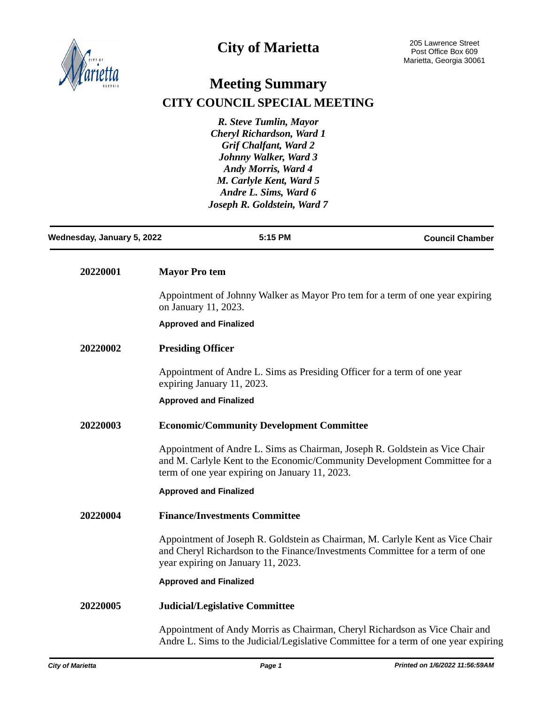

# **City of Marietta**

# **Meeting Summary CITY COUNCIL SPECIAL MEETING**

*R. Steve Tumlin, Mayor Cheryl Richardson, Ward 1 Grif Chalfant, Ward 2 Johnny Walker, Ward 3 Andy Morris, Ward 4 M. Carlyle Kent, Ward 5 Andre L. Sims, Ward 6 Joseph R. Goldstein, Ward 7*

| Wednesday, January 5, 2022 | 5:15 PM                                                                                                                                                                                                    | <b>Council Chamber</b> |
|----------------------------|------------------------------------------------------------------------------------------------------------------------------------------------------------------------------------------------------------|------------------------|
| 20220001                   | <b>Mayor Pro tem</b>                                                                                                                                                                                       |                        |
|                            | Appointment of Johnny Walker as Mayor Pro tem for a term of one year expiring<br>on January 11, 2023.                                                                                                      |                        |
|                            | <b>Approved and Finalized</b>                                                                                                                                                                              |                        |
| 20220002                   | <b>Presiding Officer</b>                                                                                                                                                                                   |                        |
|                            | Appointment of Andre L. Sims as Presiding Officer for a term of one year<br>expiring January 11, 2023.                                                                                                     |                        |
|                            | <b>Approved and Finalized</b>                                                                                                                                                                              |                        |
| 20220003                   | <b>Economic/Community Development Committee</b>                                                                                                                                                            |                        |
|                            | Appointment of Andre L. Sims as Chairman, Joseph R. Goldstein as Vice Chair<br>and M. Carlyle Kent to the Economic/Community Development Committee for a<br>term of one year expiring on January 11, 2023. |                        |
|                            | <b>Approved and Finalized</b>                                                                                                                                                                              |                        |
| 20220004                   | <b>Finance/Investments Committee</b>                                                                                                                                                                       |                        |
|                            | Appointment of Joseph R. Goldstein as Chairman, M. Carlyle Kent as Vice Chair<br>and Cheryl Richardson to the Finance/Investments Committee for a term of one<br>year expiring on January 11, 2023.        |                        |
|                            | <b>Approved and Finalized</b>                                                                                                                                                                              |                        |
| 20220005                   | <b>Judicial/Legislative Committee</b>                                                                                                                                                                      |                        |
|                            | Appointment of Andy Morris as Chairman, Cheryl Richardson as Vice Chair and<br>Andre L. Sims to the Judicial/Legislative Committee for a term of one year expiring                                         |                        |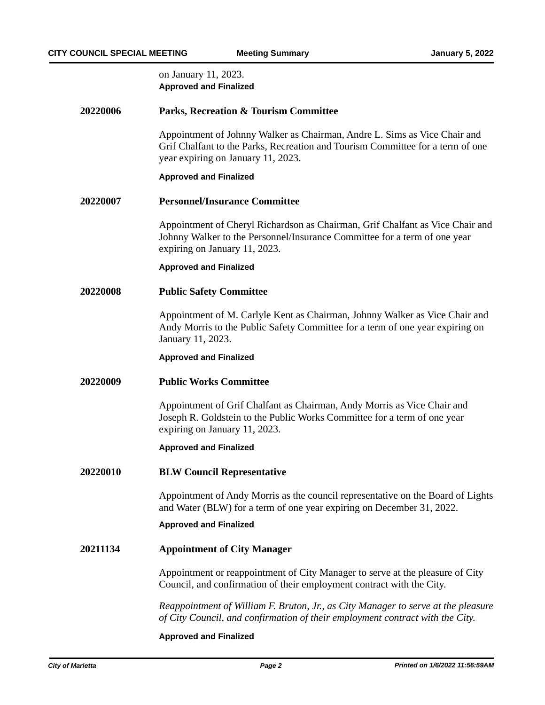on January 11, 2023. **Approved and Finalized**

## **20220006 Parks, Recreation & Tourism Committee**

Appointment of Johnny Walker as Chairman, Andre L. Sims as Vice Chair and Grif Chalfant to the Parks, Recreation and Tourism Committee for a term of one year expiring on January 11, 2023.

### **Approved and Finalized**

### **20220007 Personnel/Insurance Committee**

Appointment of Cheryl Richardson as Chairman, Grif Chalfant as Vice Chair and Johnny Walker to the Personnel/Insurance Committee for a term of one year expiring on January 11, 2023.

### **Approved and Finalized**

### **20220008 Public Safety Committee**

Appointment of M. Carlyle Kent as Chairman, Johnny Walker as Vice Chair and Andy Morris to the Public Safety Committee for a term of one year expiring on January 11, 2023.

### **Approved and Finalized**

### **20220009 Public Works Committee**

Appointment of Grif Chalfant as Chairman, Andy Morris as Vice Chair and Joseph R. Goldstein to the Public Works Committee for a term of one year expiring on January 11, 2023.

### **Approved and Finalized**

### **20220010 BLW Council Representative**

Appointment of Andy Morris as the council representative on the Board of Lights and Water (BLW) for a term of one year expiring on December 31, 2022.

### **Approved and Finalized**

### **20211134 Appointment of City Manager**

Appointment or reappointment of City Manager to serve at the pleasure of City Council, and confirmation of their employment contract with the City.

*Reappointment of William F. Bruton, Jr., as City Manager to serve at the pleasure of City Council, and confirmation of their employment contract with the City.*

### **Approved and Finalized**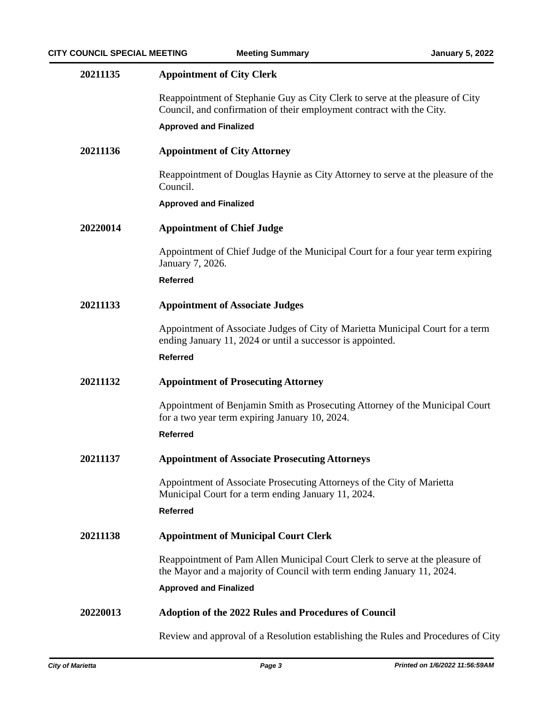| 20211135 | <b>Appointment of City Clerk</b>                                                                                                                       |
|----------|--------------------------------------------------------------------------------------------------------------------------------------------------------|
|          | Reappointment of Stephanie Guy as City Clerk to serve at the pleasure of City<br>Council, and confirmation of their employment contract with the City. |
|          | <b>Approved and Finalized</b>                                                                                                                          |
| 20211136 | <b>Appointment of City Attorney</b>                                                                                                                    |
|          | Reappointment of Douglas Haynie as City Attorney to serve at the pleasure of the<br>Council.                                                           |
|          | <b>Approved and Finalized</b>                                                                                                                          |
| 20220014 | <b>Appointment of Chief Judge</b>                                                                                                                      |
|          | Appointment of Chief Judge of the Municipal Court for a four year term expiring<br>January 7, 2026.                                                    |
|          | <b>Referred</b>                                                                                                                                        |
| 20211133 | <b>Appointment of Associate Judges</b>                                                                                                                 |
|          | Appointment of Associate Judges of City of Marietta Municipal Court for a term<br>ending January 11, 2024 or until a successor is appointed.           |
|          | <b>Referred</b>                                                                                                                                        |
| 20211132 | <b>Appointment of Prosecuting Attorney</b>                                                                                                             |
|          | Appointment of Benjamin Smith as Prosecuting Attorney of the Municipal Court<br>for a two year term expiring January 10, 2024.                         |
|          | <b>Referred</b>                                                                                                                                        |
| 20211137 | <b>Appointment of Associate Prosecuting Attorneys</b>                                                                                                  |
|          | Appointment of Associate Prosecuting Attorneys of the City of Marietta<br>Municipal Court for a term ending January 11, 2024.                          |
|          | <b>Referred</b>                                                                                                                                        |
| 20211138 | <b>Appointment of Municipal Court Clerk</b>                                                                                                            |
|          | Reappointment of Pam Allen Municipal Court Clerk to serve at the pleasure of<br>the Mayor and a majority of Council with term ending January 11, 2024. |
|          | <b>Approved and Finalized</b>                                                                                                                          |
| 20220013 | <b>Adoption of the 2022 Rules and Procedures of Council</b>                                                                                            |
|          | Review and approval of a Resolution establishing the Rules and Procedures of City                                                                      |